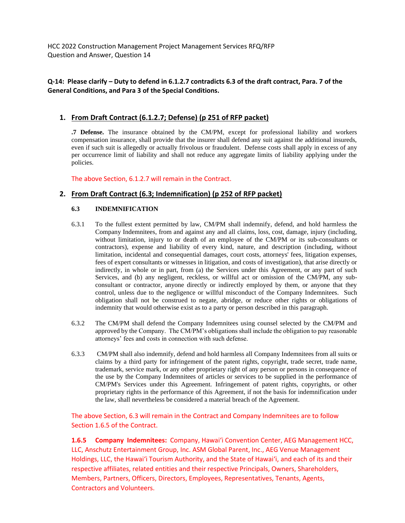HCC 2022 Construction Management Project Management Services RFQ/RFP Question and Answer, Question 14

## **Q-14: Please clarify – Duty to defend in 6.1.2.7 contradicts 6.3 of the draft contract, Para. 7 of the General Conditions, and Para 3 of the Special Conditions.**

### **1. From Draft Contract (6.1.2.7; Defense) (p 251 of RFP packet)**

**.7 Defense.** The insurance obtained by the CM/PM, except for professional liability and workers compensation insurance, shall provide that the insurer shall defend any suit against the additional insureds, even if such suit is allegedly or actually frivolous or fraudulent. Defense costs shall apply in excess of any per occurrence limit of liability and shall not reduce any aggregate limits of liability applying under the policies.

The above Section, 6.1.2.7 will remain in the Contract.

## **2. From Draft Contract (6.3; Indemnification) (p 252 of RFP packet)**

#### **6.3 INDEMNIFICATION**

- 6.3.1 To the fullest extent permitted by law, CM/PM shall indemnify, defend, and hold harmless the Company Indemnitees, from and against any and all claims, loss, cost, damage, injury (including, without limitation, injury to or death of an employee of the CM/PM or its sub-consultants or contractors), expense and liability of every kind, nature, and description (including, without limitation, incidental and consequential damages, court costs, attorneys' fees, litigation expenses, fees of expert consultants or witnesses in litigation, and costs of investigation), that arise directly or indirectly, in whole or in part, from (a) the Services under this Agreement, or any part of such Services, and (b) any negligent, reckless, or willful act or omission of the CM/PM, any subconsultant or contractor, anyone directly or indirectly employed by them, or anyone that they control, unless due to the negligence or willful misconduct of the Company Indemnitees. Such obligation shall not be construed to negate, abridge, or reduce other rights or obligations of indemnity that would otherwise exist as to a party or person described in this paragraph.
- 6.3.2 The CM/PM shall defend the Company Indemnitees using counsel selected by the CM/PM and approved by the Company. The CM/PM's obligations shall include the obligation to pay reasonable attorneys' fees and costs in connection with such defense.
- 6.3.3 CM/PM shall also indemnify, defend and hold harmless all Company Indemnitees from all suits or claims by a third party for infringement of the patent rights, copyright, trade secret, trade name, trademark, service mark, or any other proprietary right of any person or persons in consequence of the use by the Company Indemnitees of articles or services to be supplied in the performance of CM/PM's Services under this Agreement. Infringement of patent rights, copyrights, or other proprietary rights in the performance of this Agreement, if not the basis for indemnification under the law, shall nevertheless be considered a material breach of the Agreement.

The above Section, 6.3 will remain in the Contract and Company Indemnitees are to follow Section 1.6.5 of the Contract.

**1.6.5 Company Indemnitees:** Company, Hawai'i Convention Center, AEG Management HCC, LLC, Anschutz Entertainment Group, Inc. ASM Global Parent, Inc., AEG Venue Management Holdings, LLC, the Hawai'i Tourism Authority, and the State of Hawai'i, and each of its and their respective affiliates, related entities and their respective Principals, Owners, Shareholders, Members, Partners, Officers, Directors, Employees, Representatives, Tenants, Agents, Contractors and Volunteers.